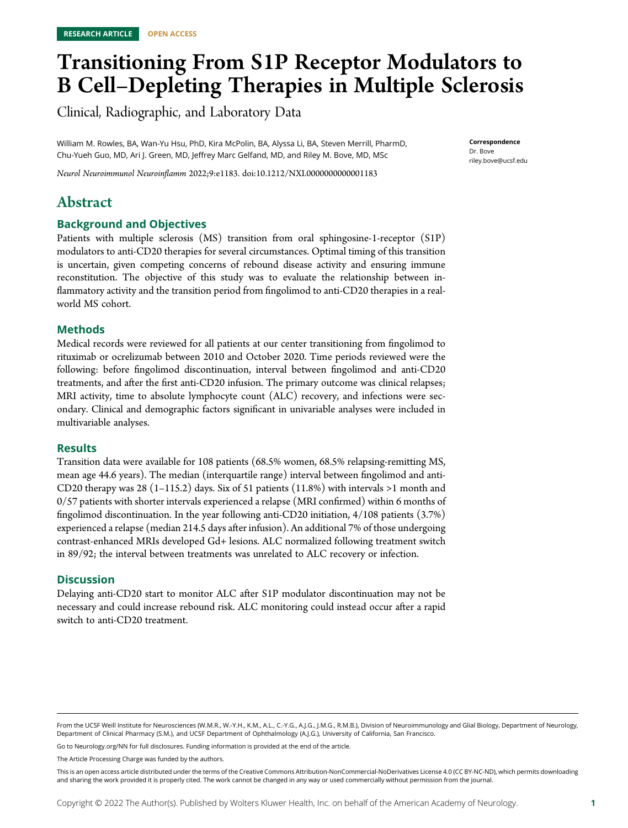# Transitioning From S1P Receptor Modulators to B Cell–Depleting Therapies in Multiple Sclerosis

Clinical, Radiographic, and Laboratory Data

William M. Rowles, BA, Wan-Yu Hsu, PhD, Kira McPolin, BA, Alyssa Li, BA, Steven Merrill, PharmD, Chu-Yueh Guo, MD, Ari J. Green, MD, Jeffrey Marc Gelfand, MD, and Riley M. Bove, MD, MSc

**Correspondence** Dr. Bove [riley.bove@ucsf.edu](mailto:riley.bove@ucsf.edu)

Neurol Neuroimmunol Neuroinflamm 2022;9:e1183. doi[:10.1212/NXI.0000000000001183](http://dx.doi.org/10.1212/NXI.0000000000001183)

# Abstract

### Background and Objectives

Patients with multiple sclerosis (MS) transition from oral sphingosine-1-receptor (S1P) modulators to anti-CD20 therapies for several circumstances. Optimal timing of this transition is uncertain, given competing concerns of rebound disease activity and ensuring immune reconstitution. The objective of this study was to evaluate the relationship between inflammatory activity and the transition period from fingolimod to anti-CD20 therapies in a realworld MS cohort.

### Methods

Medical records were reviewed for all patients at our center transitioning from fingolimod to rituximab or ocrelizumab between 2010 and October 2020. Time periods reviewed were the following: before fingolimod discontinuation, interval between fingolimod and anti-CD20 treatments, and after the first anti-CD20 infusion. The primary outcome was clinical relapses; MRI activity, time to absolute lymphocyte count (ALC) recovery, and infections were secondary. Clinical and demographic factors significant in univariable analyses were included in multivariable analyses.

### **Results**

Transition data were available for 108 patients (68.5% women, 68.5% relapsing-remitting MS, mean age 44.6 years). The median (interquartile range) interval between fingolimod and anti-CD20 therapy was 28 (1-115.2) days. Six of 51 patients (11.8%) with intervals  $>1$  month and 0/57 patients with shorter intervals experienced a relapse (MRI confirmed) within 6 months of fingolimod discontinuation. In the year following anti-CD20 initiation, 4/108 patients (3.7%) experienced a relapse (median 214.5 days after infusion). An additional 7% of those undergoing contrast-enhanced MRIs developed Gd+ lesions. ALC normalized following treatment switch in 89/92; the interval between treatments was unrelated to ALC recovery or infection.

### **Discussion**

Delaying anti-CD20 start to monitor ALC after S1P modulator discontinuation may not be necessary and could increase rebound risk. ALC monitoring could instead occur after a rapid switch to anti-CD20 treatment.

Go to [Neurology.org/NN](https://nn.neurology.org/content/9/4/e1183/tab-article-info) for full disclosures. Funding information is provided at the end of the article.

The Article Processing Charge was funded by the authors.

From the UCSF Weill Institute for Neurosciences (W.M.R., W.-Y.H., K.M., A.L., C.-Y.G., A.J.G., J.M.G., R.M.B.), Division of Neuroimmunology and Glial Biology, Department of Neurology, Department of Clinical Pharmacy (S.M.), and UCSF Department of Ophthalmology (A.J.G.), University of California, San Francisco.

This is an open access article distributed under the terms of the [Creative Commons Attribution-NonCommercial-NoDerivatives License 4.0 \(CC BY-NC-ND\),](http://creativecommons.org/licenses/by-nc-nd/4.0/) which permits downloading and sharing the work provided it is properly cited. The work cannot be changed in any way or used commercially without permission from the journal.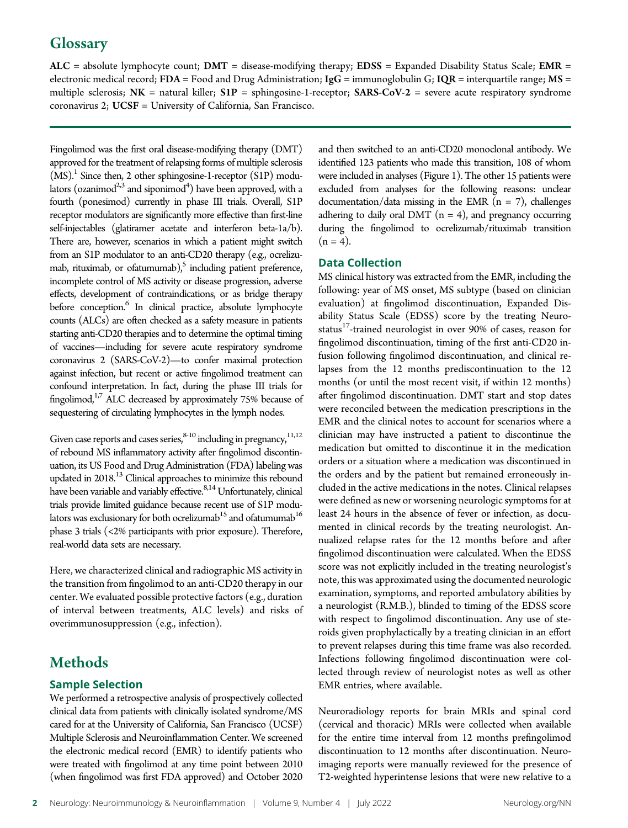# **Glossary**

 $ALC$  = absolute lymphocyte count;  $DMT$  = disease-modifying therapy;  $EDSS$  = Expanded Disability Status Scale;  $EMR$  = electronic medical record; FDA = Food and Drug Administration; IgG = immunoglobulin G; IQR = interquartile range;  $MS =$ multiple sclerosis;  $NK =$  natural killer;  $S1P =$  sphingosine-1-receptor;  $SARS-CoV-2 =$  severe acute respiratory syndrome coronavirus 2; UCSF = University of California, San Francisco.

Fingolimod was the first oral disease-modifying therapy (DMT) approved for the treatment of relapsing forms of multiple sclerosis  $(MS)$ .<sup>1</sup> Since then, 2 other sphingosine-1-receptor (S1P) modulators (ozanimod $^{2,3}$  and siponimod<sup>4</sup>) have been approved, with a fourth (ponesimod) currently in phase III trials. Overall, S1P receptor modulators are significantly more effective than first-line self-injectables (glatiramer acetate and interferon beta-1a/b). There are, however, scenarios in which a patient might switch from an S1P modulator to an anti-CD20 therapy (e.g., ocrelizumab, rituximab, or ofatumumab), $5$  including patient preference, incomplete control of MS activity or disease progression, adverse effects, development of contraindications, or as bridge therapy before conception.<sup>6</sup> In clinical practice, absolute lymphocyte counts (ALCs) are often checked as a safety measure in patients starting anti-CD20 therapies and to determine the optimal timing of vaccines—including for severe acute respiratory syndrome coronavirus 2 (SARS-CoV-2)—to confer maximal protection against infection, but recent or active fingolimod treatment can confound interpretation. In fact, during the phase III trials for fingolimod,<sup>1,7</sup> ALC decreased by approximately 75% because of sequestering of circulating lymphocytes in the lymph nodes.

Given case reports and cases series,  $8-10$  including in pregnancy,  $11,12$ of rebound MS inflammatory activity after fingolimod discontinuation, its US Food and Drug Administration (FDA) labeling was updated in 2018.<sup>13</sup> Clinical approaches to minimize this rebound have been variable and variably effective.<sup>8,14</sup> Unfortunately, clinical trials provide limited guidance because recent use of S1P modulators was exclusionary for both ocrelizumab $^{15}$  and ofatumumab $^{16}$ phase 3 trials (<2% participants with prior exposure). Therefore, real-world data sets are necessary.

Here, we characterized clinical and radiographic MS activity in the transition from fingolimod to an anti-CD20 therapy in our center. We evaluated possible protective factors (e.g., duration of interval between treatments, ALC levels) and risks of overimmunosuppression (e.g., infection).

# Methods

### Sample Selection

We performed a retrospective analysis of prospectively collected clinical data from patients with clinically isolated syndrome/MS cared for at the University of California, San Francisco (UCSF) Multiple Sclerosis and Neuroinflammation Center. We screened the electronic medical record (EMR) to identify patients who were treated with fingolimod at any time point between 2010 (when fingolimod was first FDA approved) and October 2020 and then switched to an anti-CD20 monoclonal antibody. We identified 123 patients who made this transition, 108 of whom were included in analyses (Figure 1). The other 15 patients were excluded from analyses for the following reasons: unclear documentation/data missing in the EMR  $(n = 7)$ , challenges adhering to daily oral DMT ( $n = 4$ ), and pregnancy occurring during the fingolimod to ocrelizumab/rituximab transition  $(n = 4)$ .

### Data Collection

MS clinical history was extracted from the EMR, including the following: year of MS onset, MS subtype (based on clinician evaluation) at fingolimod discontinuation, Expanded Disability Status Scale (EDSS) score by the treating Neurostatus<sup>17</sup>-trained neurologist in over 90% of cases, reason for fingolimod discontinuation, timing of the first anti-CD20 infusion following fingolimod discontinuation, and clinical relapses from the 12 months prediscontinuation to the 12 months (or until the most recent visit, if within 12 months) after fingolimod discontinuation. DMT start and stop dates were reconciled between the medication prescriptions in the EMR and the clinical notes to account for scenarios where a clinician may have instructed a patient to discontinue the medication but omitted to discontinue it in the medication orders or a situation where a medication was discontinued in the orders and by the patient but remained erroneously included in the active medications in the notes. Clinical relapses were defined as new or worsening neurologic symptoms for at least 24 hours in the absence of fever or infection, as documented in clinical records by the treating neurologist. Annualized relapse rates for the 12 months before and after fingolimod discontinuation were calculated. When the EDSS score was not explicitly included in the treating neurologist's note, this was approximated using the documented neurologic examination, symptoms, and reported ambulatory abilities by a neurologist (R.M.B.), blinded to timing of the EDSS score with respect to fingolimod discontinuation. Any use of steroids given prophylactically by a treating clinician in an effort to prevent relapses during this time frame was also recorded. Infections following fingolimod discontinuation were collected through review of neurologist notes as well as other EMR entries, where available.

Neuroradiology reports for brain MRIs and spinal cord (cervical and thoracic) MRIs were collected when available for the entire time interval from 12 months prefingolimod discontinuation to 12 months after discontinuation. Neuroimaging reports were manually reviewed for the presence of T2-weighted hyperintense lesions that were new relative to a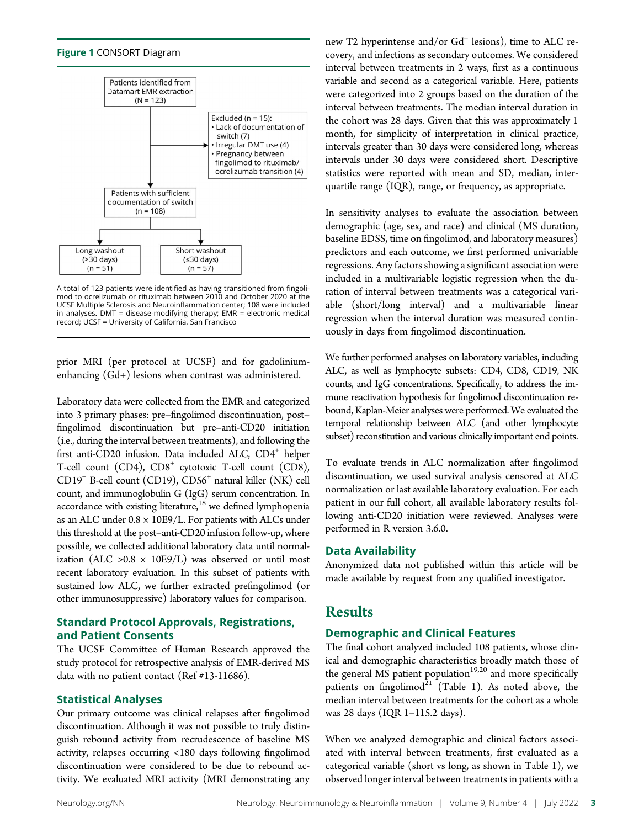



A total of 123 patients were identified as having transitioned from fingolimod to ocrelizumab or rituximab between 2010 and October 2020 at the UCSF Multiple Sclerosis and Neuroinflammation center; 108 were included in analyses.  $DMT =$  disease-modifying therapy;  $EMR =$  electronic medical record; UCSF = University of California, San Francisco

prior MRI (per protocol at UCSF) and for gadoliniumenhancing (Gd+) lesions when contrast was administered.

Laboratory data were collected from the EMR and categorized into 3 primary phases: pre–fingolimod discontinuation, post– fingolimod discontinuation but pre–anti-CD20 initiation (i.e., during the interval between treatments), and following the first anti-CD20 infusion. Data included ALC,  $CD4^+$  helper T-cell count (CD4),  $CD8<sup>+</sup>$  cytotoxic T-cell count (CD8), CD19+ B-cell count (CD19), CD56+ natural killer (NK) cell count, and immunoglobulin G (IgG) serum concentration. In accordance with existing literature,<sup>18</sup> we defined lymphopenia as an ALC under  $0.8 \times 10E9/L$ . For patients with ALCs under this threshold at the post–anti-CD20 infusion follow-up, where possible, we collected additional laboratory data until normalization (ALC >0.8  $\times$  10E9/L) was observed or until most recent laboratory evaluation. In this subset of patients with sustained low ALC, we further extracted prefingolimod (or other immunosuppressive) laboratory values for comparison.

### Standard Protocol Approvals, Registrations, and Patient Consents

The UCSF Committee of Human Research approved the study protocol for retrospective analysis of EMR-derived MS data with no patient contact (Ref #13-11686).

### Statistical Analyses

Our primary outcome was clinical relapses after fingolimod discontinuation. Although it was not possible to truly distinguish rebound activity from recrudescence of baseline MS activity, relapses occurring <180 days following fingolimod discontinuation were considered to be due to rebound activity. We evaluated MRI activity (MRI demonstrating any

new T2 hyperintense and/or Gd<sup>+</sup> lesions), time to ALC recovery, and infections as secondary outcomes. We considered interval between treatments in 2 ways, first as a continuous variable and second as a categorical variable. Here, patients were categorized into 2 groups based on the duration of the interval between treatments. The median interval duration in the cohort was 28 days. Given that this was approximately 1 month, for simplicity of interpretation in clinical practice, intervals greater than 30 days were considered long, whereas intervals under 30 days were considered short. Descriptive statistics were reported with mean and SD, median, interquartile range (IQR), range, or frequency, as appropriate.

In sensitivity analyses to evaluate the association between demographic (age, sex, and race) and clinical (MS duration, baseline EDSS, time on fingolimod, and laboratory measures) predictors and each outcome, we first performed univariable regressions. Any factors showing a significant association were included in a multivariable logistic regression when the duration of interval between treatments was a categorical variable (short/long interval) and a multivariable linear regression when the interval duration was measured continuously in days from fingolimod discontinuation.

We further performed analyses on laboratory variables, including ALC, as well as lymphocyte subsets: CD4, CD8, CD19, NK counts, and IgG concentrations. Specifically, to address the immune reactivation hypothesis for fingolimod discontinuation rebound, Kaplan-Meier analyses were performed. We evaluated the temporal relationship between ALC (and other lymphocyte subset) reconstitution and various clinically important end points.

To evaluate trends in ALC normalization after fingolimod discontinuation, we used survival analysis censored at ALC normalization or last available laboratory evaluation. For each patient in our full cohort, all available laboratory results following anti-CD20 initiation were reviewed. Analyses were performed in R version 3.6.0.

### Data Availability

Anonymized data not published within this article will be made available by request from any qualified investigator.

# Results

### Demographic and Clinical Features

The final cohort analyzed included 108 patients, whose clinical and demographic characteristics broadly match those of the general  $\overrightarrow{MS}$  patient population<sup>19,20</sup> and more specifically patients on fingolimod $^{21}$  (Table 1). As noted above, the median interval between treatments for the cohort as a whole was 28 days (IQR 1–115.2 days).

When we analyzed demographic and clinical factors associated with interval between treatments, first evaluated as a categorical variable (short vs long, as shown in Table 1), we observed longer interval between treatments in patients with a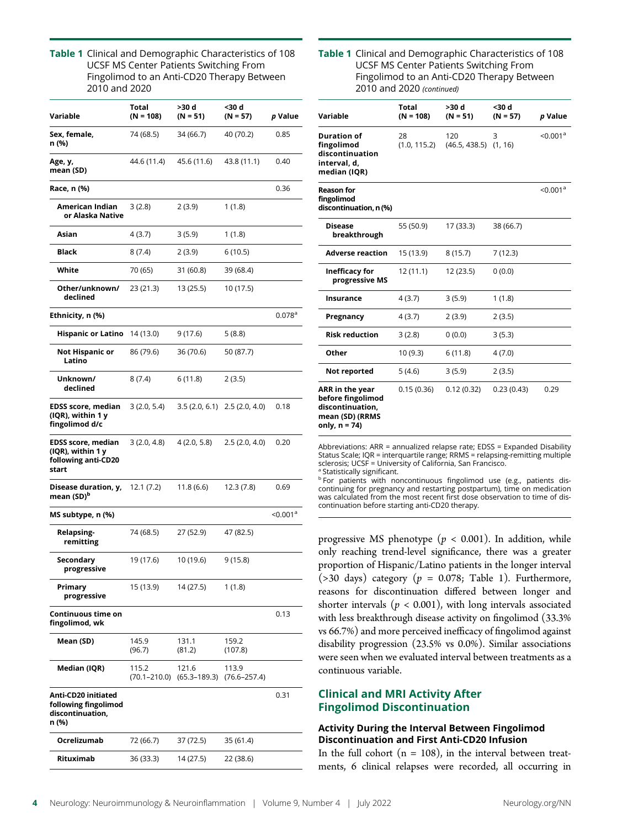Table 1 Clinical and Demographic Characteristics of 108 UCSF MS Center Patients Switching From Fingolimod to an Anti-CD20 Therapy Between 2010 and 2020

| Variable                                                                       | Total<br>$(N = 108)$ | >30 d<br>$(N = 51)$                        | <30 d<br>$(N = 57)$       | <i>p</i> Value         |
|--------------------------------------------------------------------------------|----------------------|--------------------------------------------|---------------------------|------------------------|
| Sex, female,<br>n (%)                                                          | 74 (68.5)            | 34 (66.7)                                  | 40 (70.2)                 | 0.85                   |
| Age, y,<br>mean (SD)                                                           | 44.6 (11.4)          | 45.6 (11.6)                                | 43.8 (11.1)               | 0.40                   |
| Race, n (%)                                                                    |                      |                                            |                           | 0.36                   |
| American Indian<br>or Alaska Native                                            | 3(2.8)               | 2(3.9)                                     | 1(1.8)                    |                        |
| Asian                                                                          | 4 (3.7)              | 3(5.9)                                     | 1 (1.8)                   |                        |
| Black                                                                          | 8(7.4)               | 2(3.9)                                     | 6(10.5)                   |                        |
| White                                                                          | 70 (65)              | 31 (60.8)                                  | 39 (68.4)                 |                        |
| Other/unknown/<br>declined                                                     | 23 (21.3)            | 13 (25.5)                                  | 10 (17.5)                 |                        |
| Ethnicity, n (%)                                                               |                      |                                            |                           | $0.078$ <sup>a</sup>   |
| <b>Hispanic or Latino</b>                                                      | 14 (13.0)            | 9 (17.6)                                   | 5(8.8)                    |                        |
| Not Hispanic or<br>Latino                                                      | 86 (79.6)            | 36 (70.6)                                  | 50 (87.7)                 |                        |
| Unknown/<br>declined                                                           | 8(7.4)               | 6 (11.8)                                   | 2(3.5)                    |                        |
| <b>EDSS score, median</b><br>(IQR), within 1 y<br>fingolimod d/c               | 3(2.0, 5.4)          | 3.5(2.0, 6.1)                              | 2.5(2.0, 4.0)             | 0.18                   |
| <b>EDSS score, median</b><br>(IQR), within 1 y<br>following anti-CD20<br>start | 3(2.0, 4.8)          | 4(2.0, 5.8)                                | 2.5(2.0, 4.0)             | 0.20                   |
| Disease duration, y,<br>mean (SD) <sup>b</sup>                                 | 12.1(7.2)            | 11.8(6.6)                                  | 12.3(7.8)                 | 0.69                   |
| MS subtype, n (%)                                                              |                      |                                            |                           | $<$ 0.001 <sup>a</sup> |
| Relapsing-<br>remitting                                                        | 74 (68.5)            | 27 (52.9)                                  | 47 (82.5)                 |                        |
| Secondary<br>progressive                                                       | 19 (17.6)            | 10 (19.6)                                  | 9(15.8)                   |                        |
| Primary<br>progressive                                                         | 15 (13.9)            | 14 (27.5)                                  | 1(1.8)                    |                        |
| Continuous time on<br>fingolimod, wk                                           |                      |                                            |                           | 0.13                   |
| Mean (SD)                                                                      | 145.9<br>(96.7)      | 131.1<br>(81.2)                            | 159.2<br>(107.8)          |                        |
| Median (IQR)                                                                   | 115.2                | 121.6<br>$(70.1 - 210.0)$ $(65.3 - 189.3)$ | 113.9<br>$(76.6 - 257.4)$ |                        |
| Anti-CD20 initiated<br>following fingolimod<br>discontinuation,<br>n (%)       |                      |                                            |                           | 0.31                   |
| Ocrelizumab                                                                    | 72 (66.7)            | 37 (72.5)                                  | 35 (61.4)                 |                        |
| Rituximab                                                                      | 36 (33.3)            | 14 (27.5)                                  | 22 (38.6)                 |                        |

### Table 1 Clinical and Demographic Characteristics of 108 UCSF MS Center Patients Switching From Fingolimod to an Anti-CD20 Therapy Between 2010 and 2020 (continued)

| Variable                                                                                     | <b>Total</b><br>$(N = 108)$ | >30 d<br>$(N = 51)$              | <30 d<br>$(N = 57)$ | p Value              |
|----------------------------------------------------------------------------------------------|-----------------------------|----------------------------------|---------------------|----------------------|
| <b>Duration of</b><br>fingolimod<br>discontinuation<br>interval, d,<br>median (IQR)          | 28<br>(1.0, 115.2)          | 120<br>$(46.5, 438.5)$ $(1, 16)$ | 3                   | < 0.001 <sup>a</sup> |
| <b>Reason for</b><br>fingolimod<br>discontinuation, n (%)                                    |                             |                                  |                     | < 0.001 <sup>a</sup> |
| Disease<br>breakthrough                                                                      | 55 (50.9)                   | 17 (33.3)                        | 38 (66.7)           |                      |
| <b>Adverse reaction</b>                                                                      | 15 (13.9)                   | 8(15.7)                          | 7(12.3)             |                      |
| Inefficacy for<br>progressive MS                                                             | 12 (11.1)                   | 12(23.5)                         | 0(0.0)              |                      |
| Insurance                                                                                    | 4(3.7)                      | 3(5.9)                           | 1(1.8)              |                      |
| Pregnancy                                                                                    | 4(3.7)                      | 2(3.9)                           | 2(3.5)              |                      |
| <b>Risk reduction</b>                                                                        | 3(2.8)                      | 0(0.0)                           | 3(5.3)              |                      |
| Other                                                                                        | 10(9.3)                     | 6(11.8)                          | 4(7.0)              |                      |
| Not reported                                                                                 | 5(4.6)                      | 3(5.9)                           | 2(3.5)              |                      |
| ARR in the year<br>before fingolimod<br>discontinuation,<br>mean (SD) (RRMS<br>only, n = 74) | 0.15(0.36)                  | 0.12(0.32)                       | 0.23(0.43)          | 0.29                 |

Abbreviations: ARR = annualized relapse rate; EDSS = Expanded Disability Status Scale; IQR = interquartile range; RRMS = relapsing-remitting multiple sclerosis; UCSF = University of California, San Francisco. <sup>a</sup> Statistically significant.

**b** For patients with noncontinuous fingolimod use (e.g., patients discontinuing for pregnancy and restarting postpartum), time on medication was calculated from the most recent first dose observation to time of discontinuation before starting anti-CD20 therapy.

progressive MS phenotype ( $p < 0.001$ ). In addition, while only reaching trend-level significance, there was a greater proportion of Hispanic/Latino patients in the longer interval (>30 days) category ( $p = 0.078$ ; Table 1). Furthermore, reasons for discontinuation differed between longer and shorter intervals ( $p < 0.001$ ), with long intervals associated with less breakthrough disease activity on fingolimod (33.3% vs 66.7%) and more perceived inefficacy of fingolimod against disability progression (23.5% vs 0.0%). Similar associations were seen when we evaluated interval between treatments as a continuous variable.

### Clinical and MRI Activity After Fingolimod Discontinuation

### Activity During the Interval Between Fingolimod Discontinuation and First Anti-CD20 Infusion

In the full cohort  $(n = 108)$ , in the interval between treatments, 6 clinical relapses were recorded, all occurring in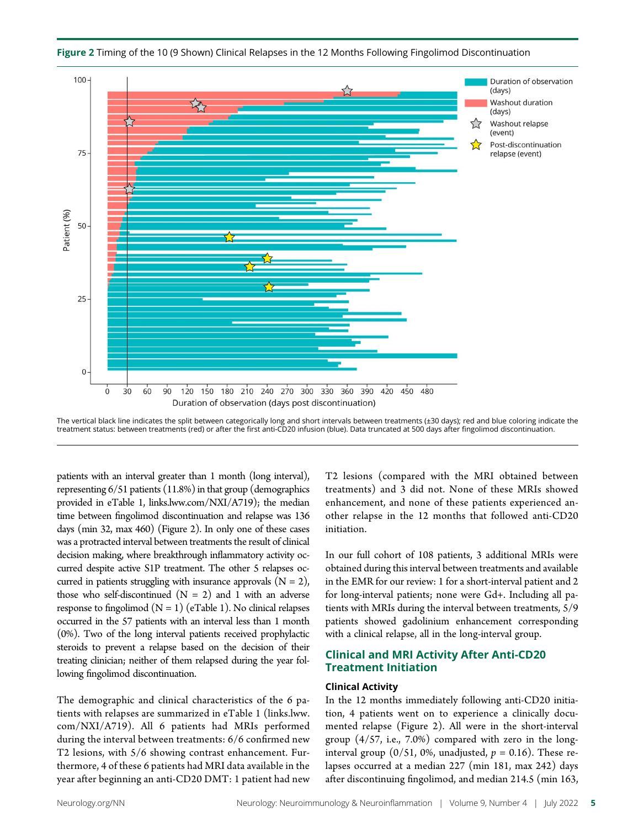

Figure 2 Timing of the 10 (9 Shown) Clinical Relapses in the 12 Months Following Fingolimod Discontinuation

The vertical black line indicates the split between categorically long and short intervals between treatments (±30 days); red and blue coloring indicate the treatment status: between treatments (red) or after the first anti-CD20 infusion (blue). Data truncated at 500 days after fingolimod discontinuation.

patients with an interval greater than 1 month (long interval), representing 6/51 patients (11.8%) in that group (demographics provided in eTable 1, [links.lww.com/NXI/A719](http://links.lww.com/NXI/A719)); the median time between fingolimod discontinuation and relapse was 136 days (min 32, max 460) (Figure 2). In only one of these cases was a protracted interval between treatments the result of clinical decision making, where breakthrough inflammatory activity occurred despite active S1P treatment. The other 5 relapses occurred in patients struggling with insurance approvals  $(N = 2)$ , those who self-discontinued  $(N = 2)$  and 1 with an adverse response to fingolimod  $(N = 1)$  (eTable 1). No clinical relapses occurred in the 57 patients with an interval less than 1 month (0%). Two of the long interval patients received prophylactic steroids to prevent a relapse based on the decision of their treating clinician; neither of them relapsed during the year following fingolimod discontinuation.

The demographic and clinical characteristics of the 6 patients with relapses are summarized in eTable 1 [\(links.lww.](http://links.lww.com/NXI/A719) [com/NXI/A719](http://links.lww.com/NXI/A719)). All 6 patients had MRIs performed during the interval between treatments: 6/6 confirmed new T2 lesions, with 5/6 showing contrast enhancement. Furthermore, 4 of these 6 patients had MRI data available in the year after beginning an anti-CD20 DMT: 1 patient had new T2 lesions (compared with the MRI obtained between treatments) and 3 did not. None of these MRIs showed enhancement, and none of these patients experienced another relapse in the 12 months that followed anti-CD20 initiation.

In our full cohort of 108 patients, 3 additional MRIs were obtained during this interval between treatments and available in the EMR for our review: 1 for a short-interval patient and 2 for long-interval patients; none were Gd+. Including all patients with MRIs during the interval between treatments, 5/9 patients showed gadolinium enhancement corresponding with a clinical relapse, all in the long-interval group.

### Clinical and MRI Activity After Anti-CD20 Treatment Initiation

### Clinical Activity

In the 12 months immediately following anti-CD20 initiation, 4 patients went on to experience a clinically documented relapse (Figure 2). All were in the short-interval group (4/57, i.e., 7.0%) compared with zero in the longinterval group (0/51, 0%, unadjusted,  $p = 0.16$ ). These relapses occurred at a median 227 (min 181, max 242) days after discontinuing fingolimod, and median 214.5 (min 163,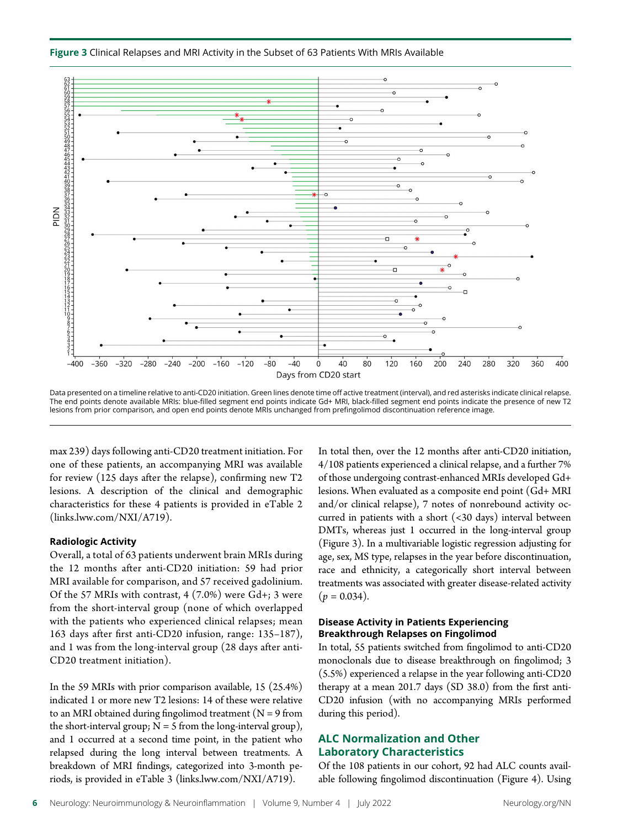



Data presented on a timeline relative to anti-CD20 initiation. Green lines denote time off active treatment (interval), and red asterisks indicate clinical relapse. The end points denote available MRIs: blue-filled segment end points indicate Gd+ MRI, black-filled segment end points indicate the presence of new T2 lesions from prior comparison, and open end points denote MRIs unchanged from prefingolimod discontinuation reference image.

max 239) days following anti-CD20 treatment initiation. For one of these patients, an accompanying MRI was available for review (125 days after the relapse), confirming new T2 lesions. A description of the clinical and demographic characteristics for these 4 patients is provided in eTable 2 [\(links.lww.com/NXI/A719](http://links.lww.com/NXI/A719)).

### Radiologic Activity

Overall, a total of 63 patients underwent brain MRIs during the 12 months after anti-CD20 initiation: 59 had prior MRI available for comparison, and 57 received gadolinium. Of the 57 MRIs with contrast, 4 (7.0%) were Gd+; 3 were from the short-interval group (none of which overlapped with the patients who experienced clinical relapses; mean 163 days after first anti-CD20 infusion, range: 135–187), and 1 was from the long-interval group (28 days after anti-CD20 treatment initiation).

In the 59 MRIs with prior comparison available, 15 (25.4%) indicated 1 or more new T2 lesions: 14 of these were relative to an MRI obtained during fingolimod treatment ( $N = 9$  from the short-interval group;  $N = 5$  from the long-interval group), and 1 occurred at a second time point, in the patient who relapsed during the long interval between treatments. A breakdown of MRI findings, categorized into 3-month periods, is provided in eTable 3 [\(links.lww.com/NXI/A719\)](http://links.lww.com/NXI/A719).

In total then, over the 12 months after anti-CD20 initiation, 4/108 patients experienced a clinical relapse, and a further 7% of those undergoing contrast-enhanced MRIs developed Gd+ lesions. When evaluated as a composite end point (Gd+ MRI and/or clinical relapse), 7 notes of nonrebound activity occurred in patients with a short (<30 days) interval between DMTs, whereas just 1 occurred in the long-interval group (Figure 3). In a multivariable logistic regression adjusting for age, sex, MS type, relapses in the year before discontinuation, race and ethnicity, a categorically short interval between treatments was associated with greater disease-related activity  $(p = 0.034)$ .

### Disease Activity in Patients Experiencing Breakthrough Relapses on Fingolimod

In total, 55 patients switched from fingolimod to anti-CD20 monoclonals due to disease breakthrough on fingolimod; 3 (5.5%) experienced a relapse in the year following anti-CD20 therapy at a mean 201.7 days (SD 38.0) from the first anti-CD20 infusion (with no accompanying MRIs performed during this period).

### ALC Normalization and Other Laboratory Characteristics

Of the 108 patients in our cohort, 92 had ALC counts available following fingolimod discontinuation (Figure 4). Using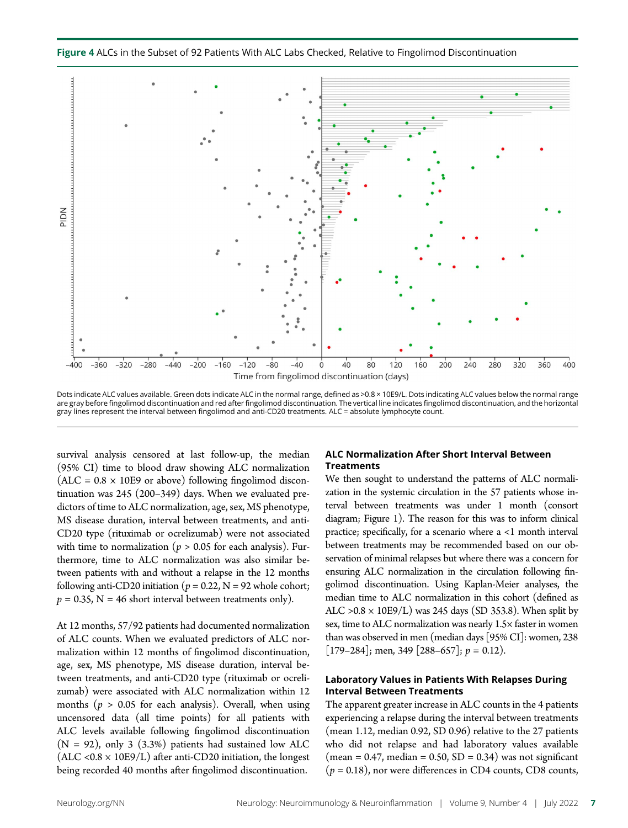Figure 4 ALCs in the Subset of 92 Patients With ALC Labs Checked, Relative to Fingolimod Discontinuation



Dots indicate ALC values available. Green dots indicate ALC in the normal range, defined as >0.8 × 10E9/L. Dots indicating ALC values below the normal range are gray before fingolimod discontinuation and red after fingolimod discontinuation. The vertical line indicates fingolimod discontinuation, and the horizontal gray lines represent the interval between fingolimod and anti-CD20 treatments. ALC = absolute lymphocyte count.

survival analysis censored at last follow-up, the median (95% CI) time to blood draw showing ALC normalization  $(ALC = 0.8 \times 10E9$  or above) following fingolimod discontinuation was 245 (200–349) days. When we evaluated predictors of time to ALC normalization, age, sex, MS phenotype, MS disease duration, interval between treatments, and anti-CD20 type (rituximab or ocrelizumab) were not associated with time to normalization ( $p > 0.05$  for each analysis). Furthermore, time to ALC normalization was also similar between patients with and without a relapse in the 12 months following anti-CD20 initiation ( $p = 0.22$ , N = 92 whole cohort;  $p = 0.35$ , N = 46 short interval between treatments only).

At 12 months, 57/92 patients had documented normalization of ALC counts. When we evaluated predictors of ALC normalization within 12 months of fingolimod discontinuation, age, sex, MS phenotype, MS disease duration, interval between treatments, and anti-CD20 type (rituximab or ocrelizumab) were associated with ALC normalization within 12 months ( $p > 0.05$  for each analysis). Overall, when using uncensored data (all time points) for all patients with ALC levels available following fingolimod discontinuation  $(N = 92)$ , only 3 (3.3%) patients had sustained low ALC  $(ALC < 0.8 \times 10E9/L)$  after anti-CD20 initiation, the longest being recorded 40 months after fingolimod discontinuation.

### ALC Normalization After Short Interval Between **Treatments**

We then sought to understand the patterns of ALC normalization in the systemic circulation in the 57 patients whose interval between treatments was under 1 month (consort diagram; Figure 1). The reason for this was to inform clinical practice; specifically, for a scenario where a <1 month interval between treatments may be recommended based on our observation of minimal relapses but where there was a concern for ensuring ALC normalization in the circulation following fingolimod discontinuation. Using Kaplan-Meier analyses, the median time to ALC normalization in this cohort (defined as ALC  $>0.8 \times 10E9/L$ ) was 245 days (SD 353.8). When split by sex, time to ALC normalization was nearly 1.5× faster in women than was observed in men (median days [95% CI]: women, 238  $[179-284]$ ; men, 349  $[288-657]$ ;  $p = 0.12$ ).

### Laboratory Values in Patients With Relapses During Interval Between Treatments

The apparent greater increase in ALC counts in the 4 patients experiencing a relapse during the interval between treatments (mean 1.12, median 0.92, SD 0.96) relative to the 27 patients who did not relapse and had laboratory values available  $(\text{mean} = 0.47, \text{median} = 0.50, \text{SD} = 0.34)$  was not significant  $(p = 0.18)$ , nor were differences in CD4 counts, CD8 counts,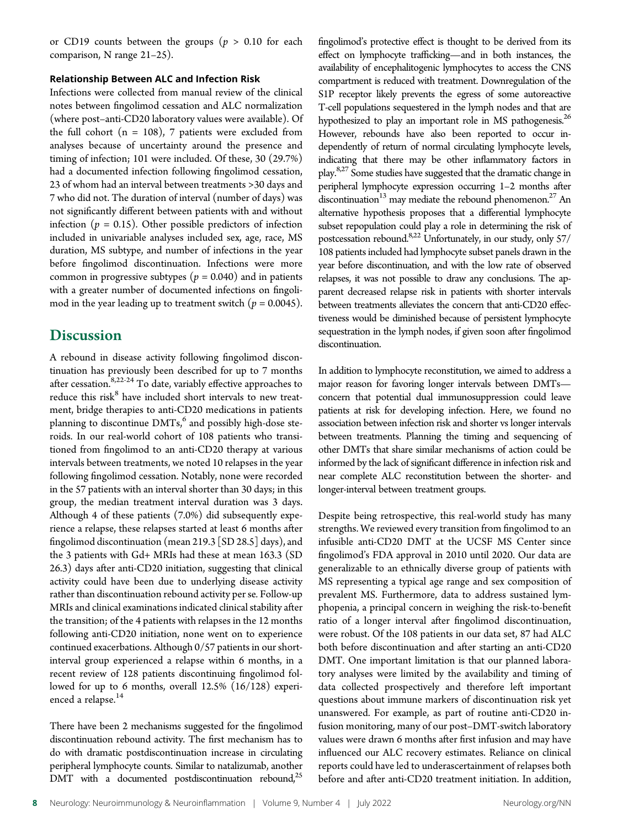or CD19 counts between the groups ( $p > 0.10$  for each comparison, N range 21–25).

### Relationship Between ALC and Infection Risk

Infections were collected from manual review of the clinical notes between fingolimod cessation and ALC normalization (where post–anti-CD20 laboratory values were available). Of the full cohort  $(n = 108)$ , 7 patients were excluded from analyses because of uncertainty around the presence and timing of infection; 101 were included. Of these, 30 (29.7%) had a documented infection following fingolimod cessation, 23 of whom had an interval between treatments >30 days and 7 who did not. The duration of interval (number of days) was not significantly different between patients with and without infection ( $p = 0.15$ ). Other possible predictors of infection included in univariable analyses included sex, age, race, MS duration, MS subtype, and number of infections in the year before fingolimod discontinuation. Infections were more common in progressive subtypes ( $p = 0.040$ ) and in patients with a greater number of documented infections on fingolimod in the year leading up to treatment switch  $(p = 0.0045)$ .

## **Discussion**

A rebound in disease activity following fingolimod discontinuation has previously been described for up to 7 months after cessation.<sup>8,22-24</sup> To date, variably effective approaches to reduce this risk<sup>8</sup> have included short intervals to new treatment, bridge therapies to anti-CD20 medications in patients planning to discontinue  $DMTs<sub>0</sub><sup>6</sup>$  and possibly high-dose steroids. In our real-world cohort of 108 patients who transitioned from fingolimod to an anti-CD20 therapy at various intervals between treatments, we noted 10 relapses in the year following fingolimod cessation. Notably, none were recorded in the 57 patients with an interval shorter than 30 days; in this group, the median treatment interval duration was 3 days. Although 4 of these patients (7.0%) did subsequently experience a relapse, these relapses started at least 6 months after fingolimod discontinuation (mean 219.3 [SD 28.5] days), and the 3 patients with Gd+ MRIs had these at mean 163.3 (SD 26.3) days after anti-CD20 initiation, suggesting that clinical activity could have been due to underlying disease activity rather than discontinuation rebound activity per se. Follow-up MRIs and clinical examinations indicated clinical stability after the transition; of the 4 patients with relapses in the 12 months following anti-CD20 initiation, none went on to experience continued exacerbations. Although 0/57 patients in our shortinterval group experienced a relapse within 6 months, in a recent review of 128 patients discontinuing fingolimod followed for up to 6 months, overall 12.5% (16/128) experienced a relapse.<sup>14</sup>

There have been 2 mechanisms suggested for the fingolimod discontinuation rebound activity. The first mechanism has to do with dramatic postdiscontinuation increase in circulating peripheral lymphocyte counts. Similar to natalizumab, another DMT with a documented postdiscontinuation rebound, $^{25}$  fingolimod's protective effect is thought to be derived from its effect on lymphocyte trafficking—and in both instances, the availability of encephalitogenic lymphocytes to access the CNS compartment is reduced with treatment. Downregulation of the S1P receptor likely prevents the egress of some autoreactive T-cell populations sequestered in the lymph nodes and that are hypothesized to play an important role in MS pathogenesis.<sup>26</sup> However, rebounds have also been reported to occur independently of return of normal circulating lymphocyte levels, indicating that there may be other inflammatory factors in play.8,27 Some studies have suggested that the dramatic change in peripheral lymphocyte expression occurring 1–2 months after discontinuation<sup>13</sup> may mediate the rebound phenomenon.<sup>27</sup> An alternative hypothesis proposes that a differential lymphocyte subset repopulation could play a role in determining the risk of postcessation rebound.<sup>8,22</sup> Unfortunately, in our study, only 57/ 108 patients included had lymphocyte subset panels drawn in the year before discontinuation, and with the low rate of observed relapses, it was not possible to draw any conclusions. The apparent decreased relapse risk in patients with shorter intervals between treatments alleviates the concern that anti-CD20 effectiveness would be diminished because of persistent lymphocyte sequestration in the lymph nodes, if given soon after fingolimod discontinuation.

In addition to lymphocyte reconstitution, we aimed to address a major reason for favoring longer intervals between DMTs concern that potential dual immunosuppression could leave patients at risk for developing infection. Here, we found no association between infection risk and shorter vs longer intervals between treatments. Planning the timing and sequencing of other DMTs that share similar mechanisms of action could be informed by the lack of significant difference in infection risk and near complete ALC reconstitution between the shorter- and longer-interval between treatment groups.

Despite being retrospective, this real-world study has many strengths. We reviewed every transition from fingolimod to an infusible anti-CD20 DMT at the UCSF MS Center since fingolimod's FDA approval in 2010 until 2020. Our data are generalizable to an ethnically diverse group of patients with MS representing a typical age range and sex composition of prevalent MS. Furthermore, data to address sustained lymphopenia, a principal concern in weighing the risk-to-benefit ratio of a longer interval after fingolimod discontinuation, were robust. Of the 108 patients in our data set, 87 had ALC both before discontinuation and after starting an anti-CD20 DMT. One important limitation is that our planned laboratory analyses were limited by the availability and timing of data collected prospectively and therefore left important questions about immune markers of discontinuation risk yet unanswered. For example, as part of routine anti-CD20 infusion monitoring, many of our post–DMT-switch laboratory values were drawn 6 months after first infusion and may have influenced our ALC recovery estimates. Reliance on clinical reports could have led to underascertainment of relapses both before and after anti-CD20 treatment initiation. In addition,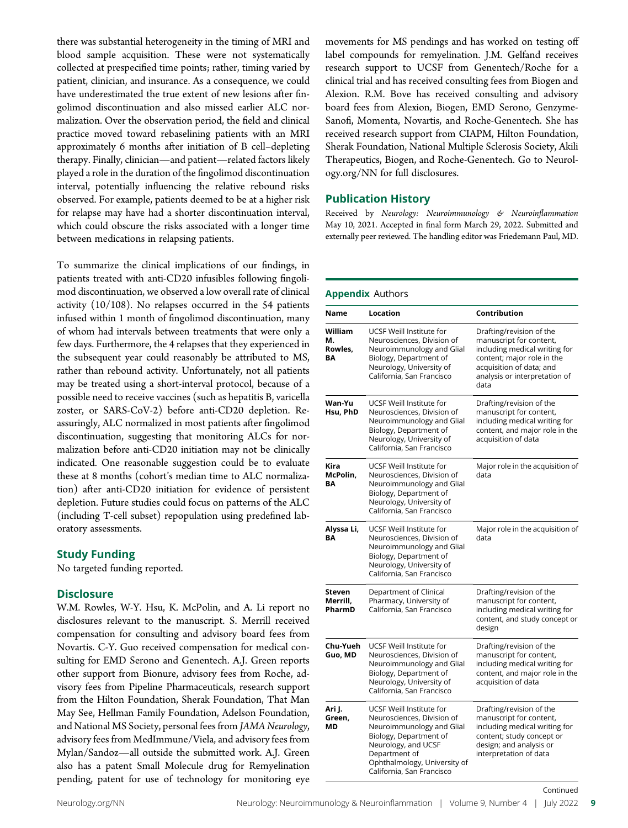there was substantial heterogeneity in the timing of MRI and blood sample acquisition. These were not systematically collected at prespecified time points; rather, timing varied by patient, clinician, and insurance. As a consequence, we could have underestimated the true extent of new lesions after fingolimod discontinuation and also missed earlier ALC normalization. Over the observation period, the field and clinical practice moved toward rebaselining patients with an MRI approximately 6 months after initiation of B cell–depleting therapy. Finally, clinician—and patient—related factors likely played a role in the duration of the fingolimod discontinuation interval, potentially influencing the relative rebound risks observed. For example, patients deemed to be at a higher risk for relapse may have had a shorter discontinuation interval, which could obscure the risks associated with a longer time between medications in relapsing patients.

To summarize the clinical implications of our findings, in patients treated with anti-CD20 infusibles following fingolimod discontinuation, we observed a low overall rate of clinical activity (10/108). No relapses occurred in the 54 patients infused within 1 month of fingolimod discontinuation, many of whom had intervals between treatments that were only a few days. Furthermore, the 4 relapses that they experienced in the subsequent year could reasonably be attributed to MS, rather than rebound activity. Unfortunately, not all patients may be treated using a short-interval protocol, because of a possible need to receive vaccines (such as hepatitis B, varicella zoster, or SARS-CoV-2) before anti-CD20 depletion. Reassuringly, ALC normalized in most patients after fingolimod discontinuation, suggesting that monitoring ALCs for normalization before anti-CD20 initiation may not be clinically indicated. One reasonable suggestion could be to evaluate these at 8 months (cohort's median time to ALC normalization) after anti-CD20 initiation for evidence of persistent depletion. Future studies could focus on patterns of the ALC (including T-cell subset) repopulation using predefined laboratory assessments.

### Study Funding

No targeted funding reported.

### **Disclosure**

W.M. Rowles, W-Y. Hsu, K. McPolin, and A. Li report no disclosures relevant to the manuscript. S. Merrill received compensation for consulting and advisory board fees from Novartis. C-Y. Guo received compensation for medical consulting for EMD Serono and Genentech. A.J. Green reports other support from Bionure, advisory fees from Roche, advisory fees from Pipeline Pharmaceuticals, research support from the Hilton Foundation, Sherak Foundation, That Man May See, Hellman Family Foundation, Adelson Foundation, and National MS Society, personal fees from JAMA Neurology, advisory fees from MedImmune/Viela, and advisory fees from Mylan/Sandoz—all outside the submitted work. A.J. Green also has a patent Small Molecule drug for Remyelination pending, patent for use of technology for monitoring eye

movements for MS pendings and has worked on testing off label compounds for remyelination. J.M. Gelfand receives research support to UCSF from Genentech/Roche for a clinical trial and has received consulting fees from Biogen and Alexion. R.M. Bove has received consulting and advisory board fees from Alexion, Biogen, EMD Serono, Genzyme-Sanofi, Momenta, Novartis, and Roche-Genentech. She has received research support from CIAPM, Hilton Foundation, Sherak Foundation, National Multiple Sclerosis Society, Akili Therapeutics, Biogen, and Roche-Genentech. Go to [Neurol](https://nn.neurology.org/content/9/4/e1183/tab-article-info)[ogy.org/NN](https://nn.neurology.org/content/9/4/e1183/tab-article-info) for full disclosures.

### Publication History

Received by Neurology: Neuroimmunology & Neuroinflammation May 10, 2021. Accepted in final form March 29, 2022. Submitted and externally peer reviewed. The handling editor was Friedemann Paul, MD.

### Appendix Authors

| Name                                | Location                                                                                                                                                                                                           | Contribution                                                                                                                                                                            |
|-------------------------------------|--------------------------------------------------------------------------------------------------------------------------------------------------------------------------------------------------------------------|-----------------------------------------------------------------------------------------------------------------------------------------------------------------------------------------|
| William<br>м.<br>Rowles,<br>BA      | UCSF Weill Institute for<br>Neurosciences, Division of<br>Neuroimmunology and Glial<br>Biology, Department of<br>Neurology, University of<br>California, San Francisco                                             | Drafting/revision of the<br>manuscript for content,<br>including medical writing for<br>content; major role in the<br>acquisition of data; and<br>analysis or interpretation of<br>data |
| Wan-Yu<br>Hsu, PhD                  | UCSF Weill Institute for<br>Neurosciences, Division of<br>Neuroimmunology and Glial<br>Biology, Department of<br>Neurology, University of<br>California, San Francisco                                             | Drafting/revision of the<br>manuscript for content,<br>including medical writing for<br>content, and major role in the<br>acquisition of data                                           |
| Kira<br>McPolin,<br>ΒA              | UCSF Weill Institute for<br>Neurosciences, Division of<br>Neuroimmunology and Glial<br>Biology, Department of<br>Neurology, University of<br>California, San Francisco                                             | Major role in the acquisition of<br>data                                                                                                                                                |
| Alyssa Li,<br>BA                    | UCSF Weill Institute for<br>Neurosciences, Division of<br>Neuroimmunology and Glial<br>Biology, Department of<br>Neurology, University of<br>California, San Francisco                                             | Major role in the acquisition of<br>data                                                                                                                                                |
| <b>Steven</b><br>Merrill.<br>PharmD | Department of Clinical<br>Pharmacy, University of<br>California, San Francisco                                                                                                                                     | Drafting/revision of the<br>manuscript for content,<br>including medical writing for<br>content, and study concept or<br>design                                                         |
| Chu-Yueh<br>Guo, MD                 | UCSF Weill Institute for<br>Neurosciences, Division of<br>Neuroimmunology and Glial<br>Biology, Department of<br>Neurology, University of<br>California, San Francisco                                             | Drafting/revision of the<br>manuscript for content,<br>including medical writing for<br>content, and major role in the<br>acquisition of data                                           |
| Ari J.<br>Green,<br>ΜD              | UCSF Weill Institute for<br>Neurosciences, Division of<br>Neuroimmunology and Glial<br>Biology, Department of<br>Neurology, and UCSF<br>Department of<br>Ophthalmology, University of<br>California, San Francisco | Drafting/revision of the<br>manuscript for content,<br>including medical writing for<br>content; study concept or<br>design; and analysis or<br>interpretation of data                  |

Continued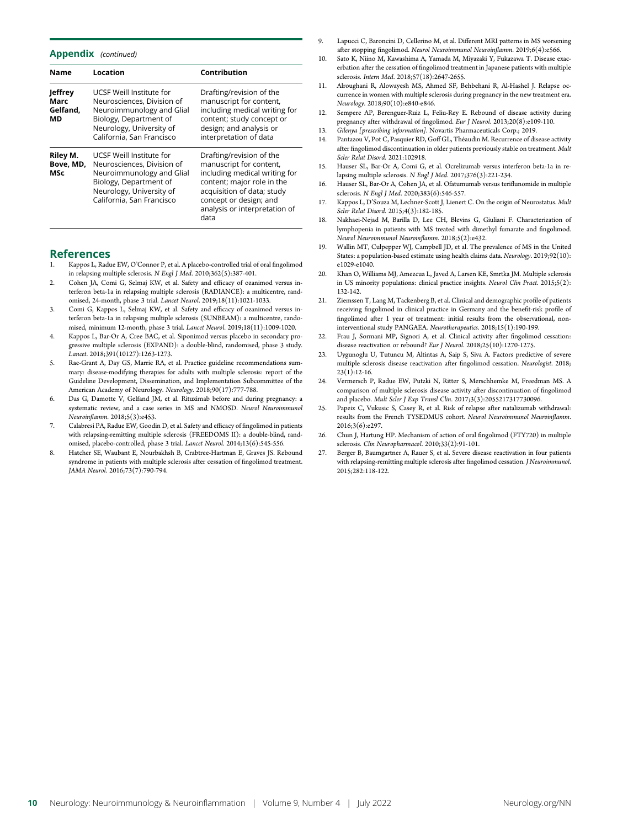### Appendix (continued)

| <b>Name</b>                              | Location                                                                                                                                                               | Contribution                                                                                                                                                                                                        |
|------------------------------------------|------------------------------------------------------------------------------------------------------------------------------------------------------------------------|---------------------------------------------------------------------------------------------------------------------------------------------------------------------------------------------------------------------|
| <b>Jeffrey</b><br>Marc<br>Gelfand,<br>МD | UCSF Weill Institute for<br>Neurosciences, Division of<br>Neuroimmunology and Glial<br>Biology, Department of<br>Neurology, University of<br>California, San Francisco | Drafting/revision of the<br>manuscript for content,<br>including medical writing for<br>content; study concept or<br>design; and analysis or<br>interpretation of data                                              |
| Riley M.<br>Bove, MD,<br>MSc             | UCSF Weill Institute for<br>Neurosciences, Division of<br>Neuroimmunology and Glial<br>Biology, Department of<br>Neurology, University of<br>California, San Francisco | Drafting/revision of the<br>manuscript for content,<br>including medical writing for<br>content; major role in the<br>acquisition of data; study<br>concept or design; and<br>analysis or interpretation of<br>data |

### References

- Kappos L, Radue EW, O'Connor P, et al. A placebo-controlled trial of oral fingolimod in relapsing multiple sclerosis. N Engl J Med. 2010;362(5):387-401.
- 2. Cohen JA, Comi G, Selmaj KW, et al. Safety and efficacy of ozanimod versus interferon beta-1a in relapsing multiple sclerosis (RADIANCE): a multicentre, randomised, 24-month, phase 3 trial. Lancet Neurol. 2019;18(11):1021-1033.
- 3. Comi G, Kappos L, Selmaj KW, et al. Safety and efficacy of ozanimod versus interferon beta-1a in relapsing multiple sclerosis (SUNBEAM): a multicentre, randomised, minimum 12-month, phase 3 trial. Lancet Neurol. 2019;18(11):1009-1020.
- Kappos L, Bar-Or A, Cree BAC, et al. Siponimod versus placebo in secondary progressive multiple sclerosis (EXPAND): a double-blind, randomised, phase 3 study. Lancet. 2018;391(10127):1263-1273.
- Rae-Grant A, Day GS, Marrie RA, et al. Practice guideline recommendations summary: disease-modifying therapies for adults with multiple sclerosis: report of the Guideline Development, Dissemination, and Implementation Subcommittee of the American Academy of Neurology. Neurology. 2018;90(17):777-788.
- 6. Das G, Damotte V, Gelfand JM, et al. Rituximab before and during pregnancy: a systematic review, and a case series in MS and NMOSD. Neurol Neuroimmunol Neuroinflamm. 2018;5(3):e453.
- 7. Calabresi PA, Radue EW, Goodin D, et al. Safety and efficacy of fingolimod in patients with relapsing-remitting multiple sclerosis (FREEDOMS II): a double-blind, randomised, placebo-controlled, phase 3 trial. Lancet Neurol. 2014;13(6):545-556.
- 8. Hatcher SE, Waubant E, Nourbakhsh B, Crabtree-Hartman E, Graves JS. Rebound syndrome in patients with multiple sclerosis after cessation of fingolimod treatment. JAMA Neurol. 2016;73(7):790-794.
- Lapucci C, Baroncini D, Cellerino M, et al. Different MRI patterns in MS worsening after stopping fingolimod. Neurol Neuroimmunol Neuroinflamm. 2019;6(4):e566.
- 10. Sato K, Niino M, Kawashima A, Yamada M, Miyazaki Y, Fukazawa T. Disease exacerbation after the cessation of fingolimod treatment in Japanese patients with multiple sclerosis. Intern Med. 2018;57(18):2647-2655.
- 11. Alroughani R, Alowayesh MS, Ahmed SF, Behbehani R, Al-Hashel J. Relapse occurrence in women with multiple sclerosis during pregnancy in the new treatment era. Neurology. 2018;90(10):e840-e846.
- 12. Sempere AP, Berenguer-Ruiz L, Feliu-Rey E. Rebound of disease activity during pregnancy after withdrawal of fingolimod. Eur J Neurol. 2013;20(8):e109-110.
- 13. Gilenya [prescribing information]. Novartis Pharmaceuticals Corp.; 2019.
- 14. Pantazou V, Pot C, Pasquier RD, Goff GL, Théaudin M. Recurrence of disease activity after fingolimod discontinuation in older patients previously stable on treatment. Mult Scler Relat Disord. 2021:102918.
- 15. Hauser SL, Bar-Or A, Comi G, et al. Ocrelizumab versus interferon beta-1a in relapsing multiple sclerosis. N Engl J Med. 2017;376(3):221-234.
- 16. Hauser SL, Bar-Or A, Cohen JA, et al. Ofatumumab versus teriflunomide in multiple sclerosis. N Engl J Med. 2020;383(6):546-557.
- 17. Kappos L, D'Souza M, Lechner-Scott J, Lienert C. On the origin of Neurostatus. Mult Scler Relat Disord. 2015;4(3):182-185.
- 18. Nakhaei-Nejad M, Barilla D, Lee CH, Blevins G, Giuliani F. Characterization of lymphopenia in patients with MS treated with dimethyl fumarate and fingolimod. Neurol Neuroimmunol Neuroinflamm. 2018;5(2):e432.
- 19. Wallin MT, Culpepper WJ, Campbell JD, et al. The prevalence of MS in the United States: a population-based estimate using health claims data. Neurology. 2019;92(10): e1029-e1040.
- 20. Khan O, Williams MJ, Amezcua L, Javed A, Larsen KE, Smrtka JM. Multiple sclerosis in US minority populations: clinical practice insights. Neurol Clin Pract. 2015;5(2): 132-142.
- 21. Ziemssen T, Lang M, Tackenberg B, et al. Clinical and demographic profile of patients receiving fingolimod in clinical practice in Germany and the benefit-risk profile of fingolimod after 1 year of treatment: initial results from the observational, noninterventional study PANGAEA. Neurotherapeutics. 2018;15(1):190-199.
- 22. Frau J, Sormani MP, Signori A, et al. Clinical activity after fingolimod cessation: disease reactivation or rebound? Eur J Neurol. 2018;25(10):1270-1275.
- 23. Uygunoglu U, Tutuncu M, Altintas A, Saip S, Siva A. Factors predictive of severe multiple sclerosis disease reactivation after fingolimod cessation. Neurologist. 2018;  $23(1):12-16.$
- 24. Vermersch P, Radue EW, Putzki N, Ritter S, Merschhemke M, Freedman MS. A comparison of multiple sclerosis disease activity after discontinuation of fingolimod and placebo. Mult Scler J Exp Transl Clin. 2017;3(3):2055217317730096.
- 25. Papeix C, Vukusic S, Casey R, et al. Risk of relapse after natalizumab withdrawal: results from the French TYSEDMUS cohort. Neurol Neuroimmunol Neuroinflamm. 2016;3(6):e297.
- 26. Chun J, Hartung HP. Mechanism of action of oral fingolimod (FTY720) in multiple sclerosis. Clin Neuropharmacol. 2010;33(2):91-101.
- 27. Berger B, Baumgartner A, Rauer S, et al. Severe disease reactivation in four patients with relapsing-remitting multiple sclerosis after fingolimod cessation. J Neuroimmunol. 2015;282:118-122.